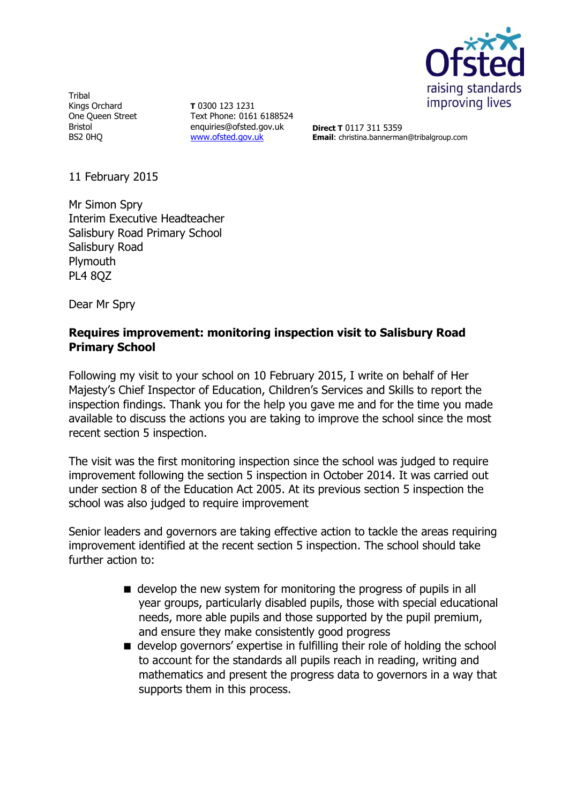

**Tribal** Kings Orchard One Queen Street Bristol BS2 0HQ

**T** 0300 123 1231 Text Phone: 0161 6188524 enquiries@ofsted.gov.uk [www.ofsted.gov.uk](http://www.ofsted.gov.uk/)

**Direct T** 0117 311 5359 **Email**: christina.bannerman@tribalgroup.com

11 February 2015

Mr Simon Spry Interim Executive Headteacher Salisbury Road Primary School Salisbury Road **Plymouth** PL4 8QZ

Dear Mr Spry

## **Requires improvement: monitoring inspection visit to Salisbury Road Primary School**

Following my visit to your school on 10 February 2015, I write on behalf of Her Majesty's Chief Inspector of Education, Children's Services and Skills to report the inspection findings. Thank you for the help you gave me and for the time you made available to discuss the actions you are taking to improve the school since the most recent section 5 inspection.

The visit was the first monitoring inspection since the school was judged to require improvement following the section 5 inspection in October 2014. It was carried out under section 8 of the Education Act 2005. At its previous section 5 inspection the school was also judged to require improvement

Senior leaders and governors are taking effective action to tackle the areas requiring improvement identified at the recent section 5 inspection. The school should take further action to:

- $\blacksquare$  develop the new system for monitoring the progress of pupils in all year groups, particularly disabled pupils, those with special educational needs, more able pupils and those supported by the pupil premium, and ensure they make consistently good progress
- develop governors' expertise in fulfilling their role of holding the school to account for the standards all pupils reach in reading, writing and mathematics and present the progress data to governors in a way that supports them in this process.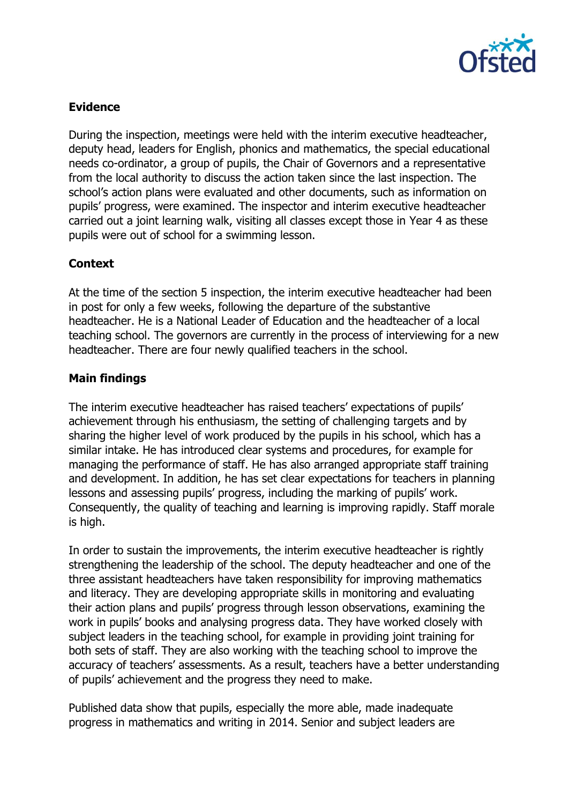

## **Evidence**

During the inspection, meetings were held with the interim executive headteacher, deputy head, leaders for English, phonics and mathematics, the special educational needs co-ordinator, a group of pupils, the Chair of Governors and a representative from the local authority to discuss the action taken since the last inspection. The school's action plans were evaluated and other documents, such as information on pupils' progress, were examined. The inspector and interim executive headteacher carried out a joint learning walk, visiting all classes except those in Year 4 as these pupils were out of school for a swimming lesson.

# **Context**

At the time of the section 5 inspection, the interim executive headteacher had been in post for only a few weeks, following the departure of the substantive headteacher. He is a National Leader of Education and the headteacher of a local teaching school. The governors are currently in the process of interviewing for a new headteacher. There are four newly qualified teachers in the school.

## **Main findings**

The interim executive headteacher has raised teachers' expectations of pupils' achievement through his enthusiasm, the setting of challenging targets and by sharing the higher level of work produced by the pupils in his school, which has a similar intake. He has introduced clear systems and procedures, for example for managing the performance of staff. He has also arranged appropriate staff training and development. In addition, he has set clear expectations for teachers in planning lessons and assessing pupils' progress, including the marking of pupils' work. Consequently, the quality of teaching and learning is improving rapidly. Staff morale is high.

In order to sustain the improvements, the interim executive headteacher is rightly strengthening the leadership of the school. The deputy headteacher and one of the three assistant headteachers have taken responsibility for improving mathematics and literacy. They are developing appropriate skills in monitoring and evaluating their action plans and pupils' progress through lesson observations, examining the work in pupils' books and analysing progress data. They have worked closely with subject leaders in the teaching school, for example in providing joint training for both sets of staff. They are also working with the teaching school to improve the accuracy of teachers' assessments. As a result, teachers have a better understanding of pupils' achievement and the progress they need to make.

Published data show that pupils, especially the more able, made inadequate progress in mathematics and writing in 2014. Senior and subject leaders are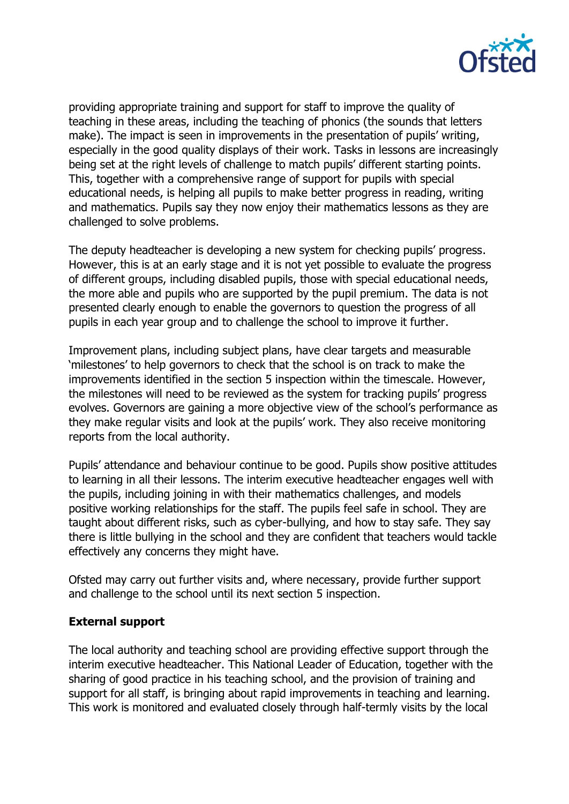

providing appropriate training and support for staff to improve the quality of teaching in these areas, including the teaching of phonics (the sounds that letters make). The impact is seen in improvements in the presentation of pupils' writing, especially in the good quality displays of their work. Tasks in lessons are increasingly being set at the right levels of challenge to match pupils' different starting points. This, together with a comprehensive range of support for pupils with special educational needs, is helping all pupils to make better progress in reading, writing and mathematics. Pupils say they now enjoy their mathematics lessons as they are challenged to solve problems.

The deputy headteacher is developing a new system for checking pupils' progress. However, this is at an early stage and it is not yet possible to evaluate the progress of different groups, including disabled pupils, those with special educational needs, the more able and pupils who are supported by the pupil premium. The data is not presented clearly enough to enable the governors to question the progress of all pupils in each year group and to challenge the school to improve it further.

Improvement plans, including subject plans, have clear targets and measurable 'milestones' to help governors to check that the school is on track to make the improvements identified in the section 5 inspection within the timescale. However, the milestones will need to be reviewed as the system for tracking pupils' progress evolves. Governors are gaining a more objective view of the school's performance as they make regular visits and look at the pupils' work. They also receive monitoring reports from the local authority.

Pupils' attendance and behaviour continue to be good. Pupils show positive attitudes to learning in all their lessons. The interim executive headteacher engages well with the pupils, including joining in with their mathematics challenges, and models positive working relationships for the staff. The pupils feel safe in school. They are taught about different risks, such as cyber-bullying, and how to stay safe. They say there is little bullying in the school and they are confident that teachers would tackle effectively any concerns they might have.

Ofsted may carry out further visits and, where necessary, provide further support and challenge to the school until its next section 5 inspection.

## **External support**

The local authority and teaching school are providing effective support through the interim executive headteacher. This National Leader of Education, together with the sharing of good practice in his teaching school, and the provision of training and support for all staff, is bringing about rapid improvements in teaching and learning. This work is monitored and evaluated closely through half-termly visits by the local